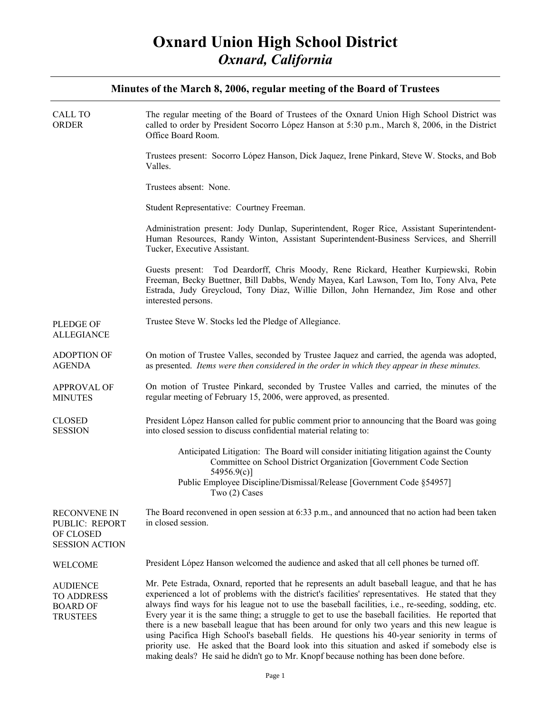| CALL TO<br>ORDER                                                            | The regular meeting of the Board of Trustees of the Oxnard Union High School District was<br>called to order by President Socorro López Hanson at 5:30 p.m., March 8, 2006, in the District<br>Office Board Room.                                                                                                                                                                                                                                                                                                                                                                                                                                                                                                                                                                                             |
|-----------------------------------------------------------------------------|---------------------------------------------------------------------------------------------------------------------------------------------------------------------------------------------------------------------------------------------------------------------------------------------------------------------------------------------------------------------------------------------------------------------------------------------------------------------------------------------------------------------------------------------------------------------------------------------------------------------------------------------------------------------------------------------------------------------------------------------------------------------------------------------------------------|
|                                                                             | Trustees present: Socorro López Hanson, Dick Jaquez, Irene Pinkard, Steve W. Stocks, and Bob<br>Valles.                                                                                                                                                                                                                                                                                                                                                                                                                                                                                                                                                                                                                                                                                                       |
|                                                                             | Trustees absent: None.                                                                                                                                                                                                                                                                                                                                                                                                                                                                                                                                                                                                                                                                                                                                                                                        |
|                                                                             | Student Representative: Courtney Freeman.                                                                                                                                                                                                                                                                                                                                                                                                                                                                                                                                                                                                                                                                                                                                                                     |
|                                                                             | Administration present: Jody Dunlap, Superintendent, Roger Rice, Assistant Superintendent-<br>Human Resources, Randy Winton, Assistant Superintendent-Business Services, and Sherrill<br>Tucker, Executive Assistant.                                                                                                                                                                                                                                                                                                                                                                                                                                                                                                                                                                                         |
|                                                                             | Guests present: Tod Deardorff, Chris Moody, Rene Rickard, Heather Kurpiewski, Robin<br>Freeman, Becky Buettner, Bill Dabbs, Wendy Mayea, Karl Lawson, Tom Ito, Tony Alva, Pete<br>Estrada, Judy Greycloud, Tony Diaz, Willie Dillon, John Hernandez, Jim Rose and other<br>interested persons.                                                                                                                                                                                                                                                                                                                                                                                                                                                                                                                |
| <b>PLEDGE OF</b><br><b>ALLEGIANCE</b>                                       | Trustee Steve W. Stocks led the Pledge of Allegiance.                                                                                                                                                                                                                                                                                                                                                                                                                                                                                                                                                                                                                                                                                                                                                         |
| <b>ADOPTION OF</b><br><b>AGENDA</b>                                         | On motion of Trustee Valles, seconded by Trustee Jaquez and carried, the agenda was adopted,<br>as presented. Items were then considered in the order in which they appear in these minutes.                                                                                                                                                                                                                                                                                                                                                                                                                                                                                                                                                                                                                  |
| <b>APPROVAL OF</b><br><b>MINUTES</b>                                        | On motion of Trustee Pinkard, seconded by Trustee Valles and carried, the minutes of the<br>regular meeting of February 15, 2006, were approved, as presented.                                                                                                                                                                                                                                                                                                                                                                                                                                                                                                                                                                                                                                                |
| <b>CLOSED</b><br><b>SESSION</b>                                             | President López Hanson called for public comment prior to announcing that the Board was going<br>into closed session to discuss confidential material relating to:                                                                                                                                                                                                                                                                                                                                                                                                                                                                                                                                                                                                                                            |
|                                                                             | Anticipated Litigation: The Board will consider initiating litigation against the County<br>Committee on School District Organization [Government Code Section]<br>54956.9(c)                                                                                                                                                                                                                                                                                                                                                                                                                                                                                                                                                                                                                                 |
|                                                                             | Public Employee Discipline/Dismissal/Release [Government Code §54957]<br>Two (2) Cases                                                                                                                                                                                                                                                                                                                                                                                                                                                                                                                                                                                                                                                                                                                        |
| <b>RECONVENE IN</b><br>PUBLIC: REPORT<br>OF CLOSED<br><b>SESSION ACTION</b> | The Board reconvened in open session at $6:33$ p.m., and announced that no action had been taken<br>in closed session.                                                                                                                                                                                                                                                                                                                                                                                                                                                                                                                                                                                                                                                                                        |
| WELCOME                                                                     | President López Hanson welcomed the audience and asked that all cell phones be turned off.                                                                                                                                                                                                                                                                                                                                                                                                                                                                                                                                                                                                                                                                                                                    |
| <b>AUDIENCE</b><br><b>TO ADDRESS</b><br><b>BOARD OF</b><br><b>TRUSTEES</b>  | Mr. Pete Estrada, Oxnard, reported that he represents an adult baseball league, and that he has<br>experienced a lot of problems with the district's facilities' representatives. He stated that they<br>always find ways for his league not to use the baseball facilities, i.e., re-seeding, sodding, etc.<br>Every year it is the same thing; a struggle to get to use the baseball facilities. He reported that<br>there is a new baseball league that has been around for only two years and this new league is<br>using Pacifica High School's baseball fields. He questions his 40-year seniority in terms of<br>priority use. He asked that the Board look into this situation and asked if somebody else is<br>making deals? He said he didn't go to Mr. Knopf because nothing has been done before. |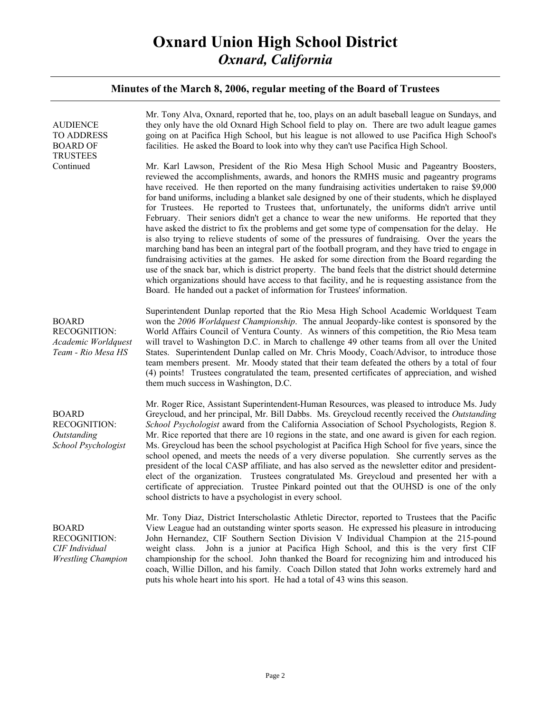| <b>AUDIENCE</b><br><b>TO ADDRESS</b><br><b>BOARD OF</b><br><b>TRUSTEES</b>         | Mr. Tony Alva, Oxnard, reported that he, too, plays on an adult baseball league on Sundays, and<br>they only have the old Oxnard High School field to play on. There are two adult league games<br>going on at Pacifica High School, but his league is not allowed to use Pacifica High School's<br>facilities. He asked the Board to look into why they can't use Pacifica High School.                                                                                                                                                                                                                                                                                                                                                                                                                                                                                                                                                                                                                                                                                                                                                                                                                                                                                              |
|------------------------------------------------------------------------------------|---------------------------------------------------------------------------------------------------------------------------------------------------------------------------------------------------------------------------------------------------------------------------------------------------------------------------------------------------------------------------------------------------------------------------------------------------------------------------------------------------------------------------------------------------------------------------------------------------------------------------------------------------------------------------------------------------------------------------------------------------------------------------------------------------------------------------------------------------------------------------------------------------------------------------------------------------------------------------------------------------------------------------------------------------------------------------------------------------------------------------------------------------------------------------------------------------------------------------------------------------------------------------------------|
| Continued                                                                          | Mr. Karl Lawson, President of the Rio Mesa High School Music and Pageantry Boosters,<br>reviewed the accomplishments, awards, and honors the RMHS music and pageantry programs<br>have received. He then reported on the many fundraising activities undertaken to raise \$9,000<br>for band uniforms, including a blanket sale designed by one of their students, which he displayed<br>for Trustees. He reported to Trustees that, unfortunately, the uniforms didn't arrive until<br>February. Their seniors didn't get a chance to wear the new uniforms. He reported that they<br>have asked the district to fix the problems and get some type of compensation for the delay. He<br>is also trying to relieve students of some of the pressures of fundraising. Over the years the<br>marching band has been an integral part of the football program, and they have tried to engage in<br>fundraising activities at the games. He asked for some direction from the Board regarding the<br>use of the snack bar, which is district property. The band feels that the district should determine<br>which organizations should have access to that facility, and he is requesting assistance from the<br>Board. He handed out a packet of information for Trustees' information. |
| <b>BOARD</b><br><b>RECOGNITION:</b><br>Academic Worldquest<br>Team - Rio Mesa HS   | Superintendent Dunlap reported that the Rio Mesa High School Academic Worldquest Team<br>won the 2006 Worldquest Championship. The annual Jeopardy-like contest is sponsored by the<br>World Affairs Council of Ventura County. As winners of this competition, the Rio Mesa team<br>will travel to Washington D.C. in March to challenge 49 other teams from all over the United<br>States. Superintendent Dunlap called on Mr. Chris Moody, Coach/Advisor, to introduce those<br>team members present. Mr. Moody stated that their team defeated the others by a total of four<br>(4) points! Trustees congratulated the team, presented certificates of appreciation, and wished<br>them much success in Washington, D.C.                                                                                                                                                                                                                                                                                                                                                                                                                                                                                                                                                          |
| <b>BOARD</b><br><b>RECOGNITION:</b><br>Outstanding<br>School Psychologist          | Mr. Roger Rice, Assistant Superintendent-Human Resources, was pleased to introduce Ms. Judy<br>Greycloud, and her principal, Mr. Bill Dabbs. Ms. Greycloud recently received the Outstanding<br>School Psychologist award from the California Association of School Psychologists, Region 8.<br>Mr. Rice reported that there are 10 regions in the state, and one award is given for each region.<br>Ms. Greycloud has been the school psychologist at Pacifica High School for five years, since the<br>school opened, and meets the needs of a very diverse population. She currently serves as the<br>president of the local CASP affiliate, and has also served as the newsletter editor and president-<br>elect of the organization. Trustees congratulated Ms. Greycloud and presented her with a<br>certificate of appreciation. Trustee Pinkard pointed out that the OUHSD is one of the only<br>school districts to have a psychologist in every school.                                                                                                                                                                                                                                                                                                                     |
| <b>BOARD</b><br><b>RECOGNITION:</b><br>CIF Individual<br><b>Wrestling Champion</b> | Mr. Tony Diaz, District Interscholastic Athletic Director, reported to Trustees that the Pacific<br>View League had an outstanding winter sports season. He expressed his pleasure in introducing<br>John Hernandez, CIF Southern Section Division V Individual Champion at the 215-pound<br>John is a junior at Pacifica High School, and this is the very first CIF<br>weight class.<br>championship for the school. John thanked the Board for recognizing him and introduced his<br>coach, Willie Dillon, and his family. Coach Dillon stated that John works extremely hard and<br>puts his whole heart into his sport. He had a total of 43 wins this season.                                                                                                                                                                                                                                                                                                                                                                                                                                                                                                                                                                                                                   |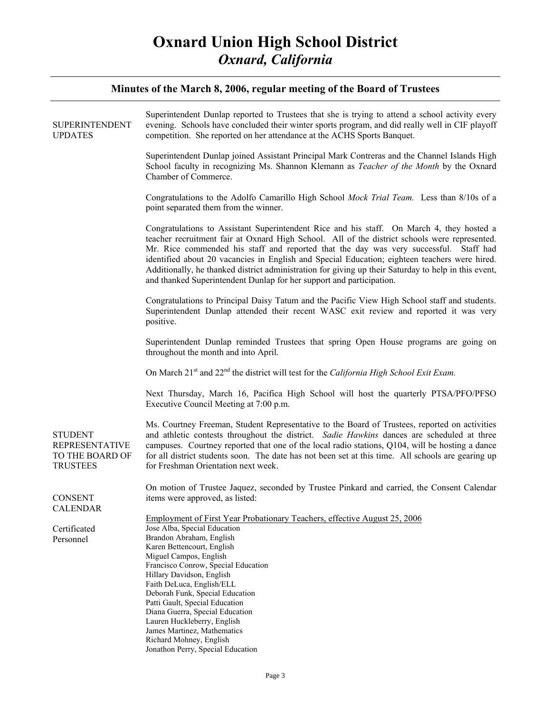|                                                                               | Minutes of the March 8, 2006, regular meeting of the Board of Trustees                                                                                                                                                                                                                                                                                                                                                                                                                                                                                               |
|-------------------------------------------------------------------------------|----------------------------------------------------------------------------------------------------------------------------------------------------------------------------------------------------------------------------------------------------------------------------------------------------------------------------------------------------------------------------------------------------------------------------------------------------------------------------------------------------------------------------------------------------------------------|
| <b>SUPERINTENDENT</b><br><b>UPDATES</b>                                       | Superintendent Dunlap reported to Trustees that she is trying to attend a school activity every<br>evening. Schools have concluded their winter sports program, and did really well in CIF playoff<br>competition. She reported on her attendance at the ACHS Sports Banquet.                                                                                                                                                                                                                                                                                        |
|                                                                               | Superintendent Dunlap joined Assistant Principal Mark Contreras and the Channel Islands High<br>School faculty in recognizing Ms. Shannon Klemann as <i>Teacher of the Month</i> by the Oxnard<br>Chamber of Commerce.                                                                                                                                                                                                                                                                                                                                               |
|                                                                               | Congratulations to the Adolfo Camarillo High School Mock Trial Team. Less than 8/10s of a<br>point separated them from the winner.                                                                                                                                                                                                                                                                                                                                                                                                                                   |
|                                                                               | Congratulations to Assistant Superintendent Rice and his staff. On March 4, they hosted a<br>teacher recruitment fair at Oxnard High School. All of the district schools were represented.<br>Mr. Rice commended his staff and reported that the day was very successful. Staff had<br>identified about 20 vacancies in English and Special Education; eighteen teachers were hired.<br>Additionally, he thanked district administration for giving up their Saturday to help in this event,<br>and thanked Superintendent Dunlap for her support and participation. |
|                                                                               | Congratulations to Principal Daisy Tatum and the Pacific View High School staff and students.<br>Superintendent Dunlap attended their recent WASC exit review and reported it was very<br>positive.                                                                                                                                                                                                                                                                                                                                                                  |
|                                                                               | Superintendent Dunlap reminded Trustees that spring Open House programs are going on<br>throughout the month and into April.                                                                                                                                                                                                                                                                                                                                                                                                                                         |
|                                                                               | On March 21 <sup>st</sup> and 22 <sup>nd</sup> the district will test for the California High School Exit Exam.                                                                                                                                                                                                                                                                                                                                                                                                                                                      |
|                                                                               | Next Thursday, March 16, Pacifica High School will host the quarterly PTSA/PFO/PFSO<br>Executive Council Meeting at 7:00 p.m.                                                                                                                                                                                                                                                                                                                                                                                                                                        |
| <b>STUDENT</b><br><b>REPRESENTATIVE</b><br>TO THE BOARD OF<br><b>TRUSTEES</b> | Ms. Courtney Freeman, Student Representative to the Board of Trustees, reported on activities<br>and athletic contests throughout the district. Sadie Hawkins dances are scheduled at three<br>campuses. Courtney reported that one of the local radio stations, Q104, will be hosting a dance<br>for all district students soon. The date has not been set at this time. All schools are gearing up<br>for Freshman Orientation next week.                                                                                                                          |
| <b>CONSENT</b>                                                                | On motion of Trustee Jaquez, seconded by Trustee Pinkard and carried, the Consent Calendar                                                                                                                                                                                                                                                                                                                                                                                                                                                                           |
| <b>CALENDAR</b>                                                               | items were approved, as listed:                                                                                                                                                                                                                                                                                                                                                                                                                                                                                                                                      |
| Certificated<br>Personnel                                                     | Employment of First Year Probationary Teachers, effective August 25, 2006<br>Jose Alba, Special Education<br>Brandon Abraham, English<br>Karen Bettencourt, English<br>Miguel Campos, English<br>Francisco Conrow, Special Education<br>Hillary Davidson, English<br>Faith DeLuca, English/ELL<br>Deborah Funk, Special Education<br>Patti Gault, Special Education<br>Diana Guerra, Special Education                                                                                                                                                               |
|                                                                               | Lauren Huckleberry, English<br>James Martinez, Mathematics                                                                                                                                                                                                                                                                                                                                                                                                                                                                                                           |
|                                                                               | Richard Mohney, English<br>Jonathon Perry, Special Education                                                                                                                                                                                                                                                                                                                                                                                                                                                                                                         |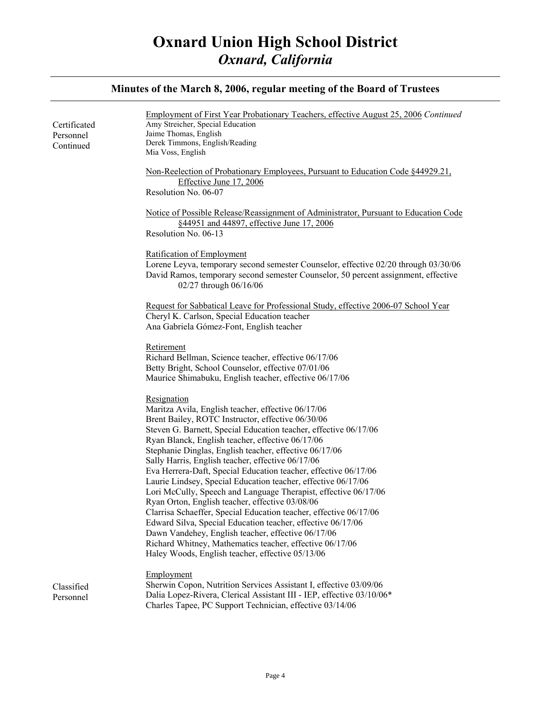#### **Minutes of the March 8, 2006, regular meeting of the Board of Trustees**  Certificated Personnel Continued Classified Personnel Employment of First Year Probationary Teachers, effective August 25, 2006 *Continued* Amy Streicher, Special Education Jaime Thomas, English Derek Timmons, English/Reading Mia Voss, English Non-Reelection of Probationary Employees, Pursuant to Education Code §44929.21, Effective June 17, 2006 Resolution No. 06-07 Notice of Possible Release/Reassignment of Administrator, Pursuant to Education Code §44951 and 44897, effective June 17, 2006 Resolution No. 06-13 Ratification of Employment Lorene Leyva, temporary second semester Counselor, effective 02/20 through 03/30/06 David Ramos, temporary second semester Counselor, 50 percent assignment, effective 02/27 through 06/16/06 Request for Sabbatical Leave for Professional Study, effective 2006-07 School Year Cheryl K. Carlson, Special Education teacher Ana Gabriela Gómez-Font, English teacher Retirement Richard Bellman, Science teacher, effective 06/17/06 Betty Bright, School Counselor, effective 07/01/06 Maurice Shimabuku, English teacher, effective 06/17/06 Resignation Maritza Avila, English teacher, effective 06/17/06 Brent Bailey, ROTC Instructor, effective 06/30/06 Steven G. Barnett, Special Education teacher, effective 06/17/06 Ryan Blanck, English teacher, effective 06/17/06 Stephanie Dinglas, English teacher, effective 06/17/06 Sally Harris, English teacher, effective 06/17/06 Eva Herrera-Daft, Special Education teacher, effective 06/17/06 Laurie Lindsey, Special Education teacher, effective 06/17/06 Lori McCully, Speech and Language Therapist, effective 06/17/06 Ryan Orton, English teacher, effective 03/08/06 Clarrisa Schaeffer, Special Education teacher, effective 06/17/06 Edward Silva, Special Education teacher, effective 06/17/06 Dawn Vandehey, English teacher, effective 06/17/06 Richard Whitney, Mathematics teacher, effective 06/17/06 Haley Woods, English teacher, effective 05/13/06 Employment Sherwin Copon, Nutrition Services Assistant I, effective 03/09/06 Dalia Lopez-Rivera, Clerical Assistant III - IEP, effective 03/10/06\* Charles Tapee, PC Support Technician, effective 03/14/06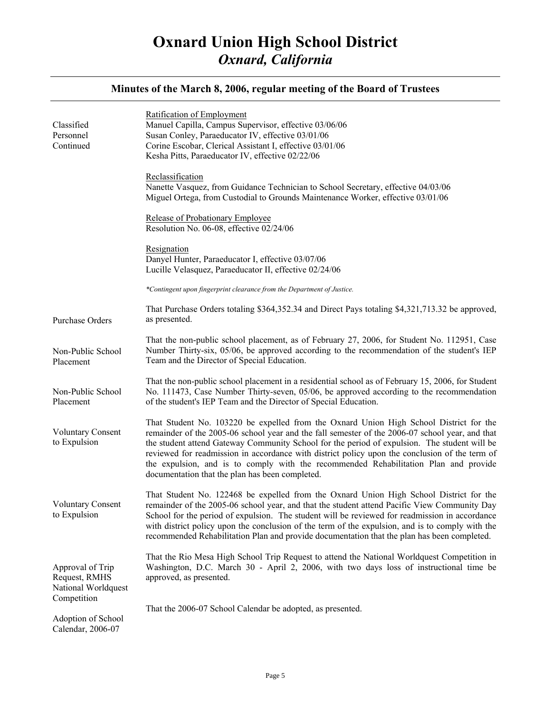| Classified<br>Personnel<br>Continued                     | Ratification of Employment<br>Manuel Capilla, Campus Supervisor, effective 03/06/06<br>Susan Conley, Paraeducator IV, effective 03/01/06<br>Corine Escobar, Clerical Assistant I, effective 03/01/06<br>Kesha Pitts, Paraeducator IV, effective 02/22/06                                                                                                                                                                                                                                                                               |
|----------------------------------------------------------|----------------------------------------------------------------------------------------------------------------------------------------------------------------------------------------------------------------------------------------------------------------------------------------------------------------------------------------------------------------------------------------------------------------------------------------------------------------------------------------------------------------------------------------|
|                                                          | Reclassification<br>Nanette Vasquez, from Guidance Technician to School Secretary, effective 04/03/06<br>Miguel Ortega, from Custodial to Grounds Maintenance Worker, effective 03/01/06                                                                                                                                                                                                                                                                                                                                               |
|                                                          | Release of Probationary Employee<br>Resolution No. 06-08, effective 02/24/06                                                                                                                                                                                                                                                                                                                                                                                                                                                           |
|                                                          | Resignation<br>Danyel Hunter, Paraeducator I, effective 03/07/06<br>Lucille Velasquez, Paraeducator II, effective 02/24/06                                                                                                                                                                                                                                                                                                                                                                                                             |
|                                                          | *Contingent upon fingerprint clearance from the Department of Justice.                                                                                                                                                                                                                                                                                                                                                                                                                                                                 |
| Purchase Orders                                          | That Purchase Orders totaling \$364,352.34 and Direct Pays totaling \$4,321,713.32 be approved,<br>as presented.                                                                                                                                                                                                                                                                                                                                                                                                                       |
| Non-Public School<br>Placement                           | That the non-public school placement, as of February 27, 2006, for Student No. 112951, Case<br>Number Thirty-six, 05/06, be approved according to the recommendation of the student's IEP<br>Team and the Director of Special Education.                                                                                                                                                                                                                                                                                               |
| Non-Public School<br>Placement                           | That the non-public school placement in a residential school as of February 15, 2006, for Student<br>No. 111473, Case Number Thirty-seven, 05/06, be approved according to the recommendation<br>of the student's IEP Team and the Director of Special Education.                                                                                                                                                                                                                                                                      |
| <b>Voluntary Consent</b><br>to Expulsion                 | That Student No. 103220 be expelled from the Oxnard Union High School District for the<br>remainder of the 2005-06 school year and the fall semester of the 2006-07 school year, and that<br>the student attend Gateway Community School for the period of expulsion. The student will be<br>reviewed for readmission in accordance with district policy upon the conclusion of the term of<br>the expulsion, and is to comply with the recommended Rehabilitation Plan and provide<br>documentation that the plan has been completed. |
| <b>Voluntary Consent</b><br>to Expulsion                 | That Student No. 122468 be expelled from the Oxnard Union High School District for the<br>remainder of the 2005-06 school year, and that the student attend Pacific View Community Day<br>School for the period of expulsion. The student will be reviewed for readmission in accordance<br>with district policy upon the conclusion of the term of the expulsion, and is to comply with the<br>recommended Rehabilitation Plan and provide documentation that the plan has been completed.                                            |
| Approval of Trip<br>Request, RMHS<br>National Worldquest | That the Rio Mesa High School Trip Request to attend the National Worldquest Competition in<br>Washington, D.C. March 30 - April 2, 2006, with two days loss of instructional time be<br>approved, as presented.                                                                                                                                                                                                                                                                                                                       |
| Competition<br>Adoption of School<br>Calendar, 2006-07   | That the 2006-07 School Calendar be adopted, as presented.                                                                                                                                                                                                                                                                                                                                                                                                                                                                             |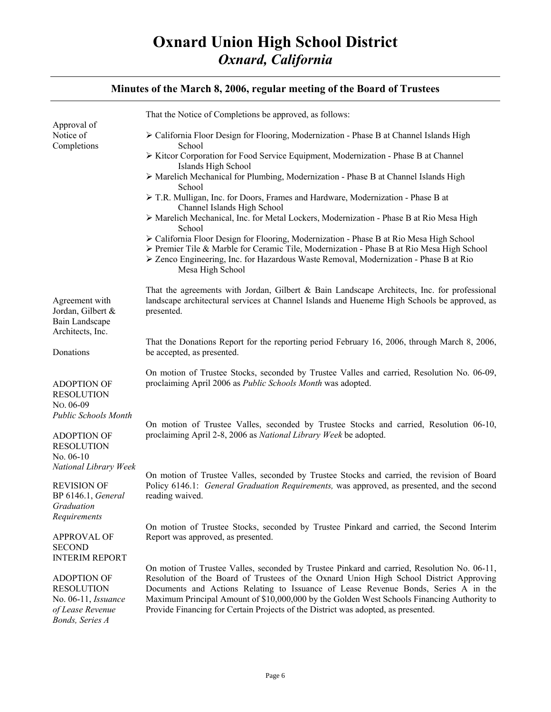|                                                                                                                                       | That the Notice of Completions be approved, as follows:                                                                                                                                                                                                                                                                                                                                                                                                        |
|---------------------------------------------------------------------------------------------------------------------------------------|----------------------------------------------------------------------------------------------------------------------------------------------------------------------------------------------------------------------------------------------------------------------------------------------------------------------------------------------------------------------------------------------------------------------------------------------------------------|
| Approval of<br>Notice of<br>Completions                                                                                               | > California Floor Design for Flooring, Modernization - Phase B at Channel Islands High<br>School                                                                                                                                                                                                                                                                                                                                                              |
|                                                                                                                                       | ≻ Kitcor Corporation for Food Service Equipment, Modernization - Phase B at Channel                                                                                                                                                                                                                                                                                                                                                                            |
|                                                                                                                                       | Islands High School<br>$\triangleright$ Marelich Mechanical for Plumbing, Modernization - Phase B at Channel Islands High                                                                                                                                                                                                                                                                                                                                      |
|                                                                                                                                       | School<br>> T.R. Mulligan, Inc. for Doors, Frames and Hardware, Modernization - Phase B at<br>Channel Islands High School                                                                                                                                                                                                                                                                                                                                      |
|                                                                                                                                       | > Marelich Mechanical, Inc. for Metal Lockers, Modernization - Phase B at Rio Mesa High<br>School                                                                                                                                                                                                                                                                                                                                                              |
|                                                                                                                                       | > California Floor Design for Flooring, Modernization - Phase B at Rio Mesa High School<br>≻ Premier Tile & Marble for Ceramic Tile, Modernization - Phase B at Rio Mesa High School<br>► Zenco Engineering, Inc. for Hazardous Waste Removal, Modernization - Phase B at Rio<br>Mesa High School                                                                                                                                                              |
| Agreement with<br>Jordan, Gilbert &<br>Bain Landscape<br>Architects, Inc.                                                             | That the agreements with Jordan, Gilbert & Bain Landscape Architects, Inc. for professional<br>landscape architectural services at Channel Islands and Hueneme High Schools be approved, as<br>presented.                                                                                                                                                                                                                                                      |
| Donations                                                                                                                             | That the Donations Report for the reporting period February 16, 2006, through March 8, 2006,<br>be accepted, as presented.                                                                                                                                                                                                                                                                                                                                     |
| <b>ADOPTION OF</b><br><b>RESOLUTION</b><br>No. 06-09                                                                                  | On motion of Trustee Stocks, seconded by Trustee Valles and carried, Resolution No. 06-09,<br>proclaiming April 2006 as Public Schools Month was adopted.                                                                                                                                                                                                                                                                                                      |
| Public Schools Month                                                                                                                  | On motion of Trustee Valles, seconded by Trustee Stocks and carried, Resolution 06-10,                                                                                                                                                                                                                                                                                                                                                                         |
| <b>ADOPTION OF</b><br><b>RESOLUTION</b>                                                                                               | proclaiming April 2-8, 2006 as National Library Week be adopted.                                                                                                                                                                                                                                                                                                                                                                                               |
| No. $06-10$<br>National Library Week                                                                                                  | On motion of Trustee Valles, seconded by Trustee Stocks and carried, the revision of Board                                                                                                                                                                                                                                                                                                                                                                     |
| <b>REVISION OF</b><br><b>BP</b> 6146.1, <i>General</i><br>Graduation<br>Requirements                                                  | Policy 6146.1: <i>General Graduation Requirements</i> , was approved, as presented, and the second<br>reading waived.                                                                                                                                                                                                                                                                                                                                          |
| <b>APPROVAL OF</b><br><b>SECOND</b>                                                                                                   | On motion of Trustee Stocks, seconded by Trustee Pinkard and carried, the Second Interim<br>Report was approved, as presented.                                                                                                                                                                                                                                                                                                                                 |
| <b>INTERIM REPORT</b><br><b>ADOPTION OF</b><br><b>RESOLUTION</b><br>No. 06-11, <i>Issuance</i><br>of Lease Revenue<br>Bonds, Series A | On motion of Trustee Valles, seconded by Trustee Pinkard and carried, Resolution No. 06-11,<br>Resolution of the Board of Trustees of the Oxnard Union High School District Approving<br>Documents and Actions Relating to Issuance of Lease Revenue Bonds, Series A in the<br>Maximum Principal Amount of \$10,000,000 by the Golden West Schools Financing Authority to<br>Provide Financing for Certain Projects of the District was adopted, as presented. |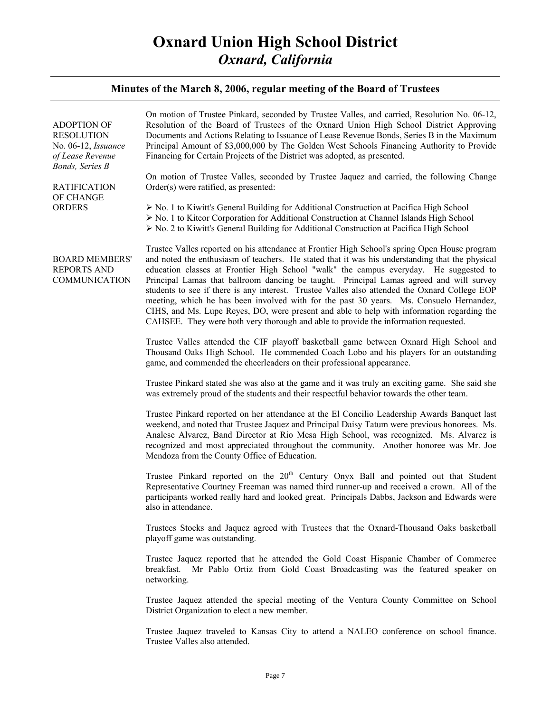| <b>ADOPTION OF</b><br><b>RESOLUTION</b><br>No. 06-12, <i>Issuance</i><br>of Lease Revenue<br>Bonds, Series B<br><b>RATIFICATION</b><br>OF CHANGE<br><b>ORDERS</b> | On motion of Trustee Pinkard, seconded by Trustee Valles, and carried, Resolution No. 06-12,<br>Resolution of the Board of Trustees of the Oxnard Union High School District Approving<br>Documents and Actions Relating to Issuance of Lease Revenue Bonds, Series B in the Maximum<br>Principal Amount of \$3,000,000 by The Golden West Schools Financing Authority to Provide<br>Financing for Certain Projects of the District was adopted, as presented.<br>On motion of Trustee Valles, seconded by Trustee Jaquez and carried, the following Change<br>Order(s) were ratified, as presented:<br>$\triangleright$ No. 1 to Kiwitt's General Building for Additional Construction at Pacifica High School<br>$\triangleright$ No. 1 to Kitcor Corporation for Additional Construction at Channel Islands High School |
|-------------------------------------------------------------------------------------------------------------------------------------------------------------------|----------------------------------------------------------------------------------------------------------------------------------------------------------------------------------------------------------------------------------------------------------------------------------------------------------------------------------------------------------------------------------------------------------------------------------------------------------------------------------------------------------------------------------------------------------------------------------------------------------------------------------------------------------------------------------------------------------------------------------------------------------------------------------------------------------------------------|
|                                                                                                                                                                   | $\triangleright$ No. 2 to Kiwitt's General Building for Additional Construction at Pacifica High School                                                                                                                                                                                                                                                                                                                                                                                                                                                                                                                                                                                                                                                                                                                    |
| <b>BOARD MEMBERS'</b><br><b>REPORTS AND</b><br>COMMUNICATION                                                                                                      | Trustee Valles reported on his attendance at Frontier High School's spring Open House program<br>and noted the enthusiasm of teachers. He stated that it was his understanding that the physical<br>education classes at Frontier High School "walk" the campus everyday. He suggested to<br>Principal Lamas that ballroom dancing be taught. Principal Lamas agreed and will survey<br>students to see if there is any interest. Trustee Valles also attended the Oxnard College EOP<br>meeting, which he has been involved with for the past 30 years. Ms. Consuelo Hernandez,<br>CIHS, and Ms. Lupe Reyes, DO, were present and able to help with information regarding the<br>CAHSEE. They were both very thorough and able to provide the information requested.                                                      |
|                                                                                                                                                                   | Trustee Valles attended the CIF playoff basketball game between Oxnard High School and<br>Thousand Oaks High School. He commended Coach Lobo and his players for an outstanding<br>game, and commended the cheerleaders on their professional appearance.                                                                                                                                                                                                                                                                                                                                                                                                                                                                                                                                                                  |
|                                                                                                                                                                   | Trustee Pinkard stated she was also at the game and it was truly an exciting game. She said she<br>was extremely proud of the students and their respectful behavior towards the other team.                                                                                                                                                                                                                                                                                                                                                                                                                                                                                                                                                                                                                               |
|                                                                                                                                                                   | Trustee Pinkard reported on her attendance at the El Concilio Leadership Awards Banquet last<br>weekend, and noted that Trustee Jaquez and Principal Daisy Tatum were previous honorees. Ms.<br>Analese Alvarez, Band Director at Rio Mesa High School, was recognized. Ms. Alvarez is<br>recognized and most appreciated throughout the community. Another honoree was Mr. Joe<br>Mendoza from the County Office of Education.                                                                                                                                                                                                                                                                                                                                                                                            |
|                                                                                                                                                                   | Trustee Pinkard reported on the 20 <sup>th</sup> Century Onyx Ball and pointed out that Student<br>Representative Courtney Freeman was named third runner-up and received a crown. All of the<br>participants worked really hard and looked great. Principals Dabbs, Jackson and Edwards were<br>also in attendance.                                                                                                                                                                                                                                                                                                                                                                                                                                                                                                       |
|                                                                                                                                                                   | Trustees Stocks and Jaquez agreed with Trustees that the Oxnard-Thousand Oaks basketball<br>playoff game was outstanding.                                                                                                                                                                                                                                                                                                                                                                                                                                                                                                                                                                                                                                                                                                  |
|                                                                                                                                                                   | Trustee Jaquez reported that he attended the Gold Coast Hispanic Chamber of Commerce<br>Mr Pablo Ortiz from Gold Coast Broadcasting was the featured speaker on<br>breakfast.<br>networking.                                                                                                                                                                                                                                                                                                                                                                                                                                                                                                                                                                                                                               |
|                                                                                                                                                                   | Trustee Jaquez attended the special meeting of the Ventura County Committee on School<br>District Organization to elect a new member.                                                                                                                                                                                                                                                                                                                                                                                                                                                                                                                                                                                                                                                                                      |
|                                                                                                                                                                   | Trustee Jaquez traveled to Kansas City to attend a NALEO conference on school finance.<br>Trustee Valles also attended.                                                                                                                                                                                                                                                                                                                                                                                                                                                                                                                                                                                                                                                                                                    |
|                                                                                                                                                                   |                                                                                                                                                                                                                                                                                                                                                                                                                                                                                                                                                                                                                                                                                                                                                                                                                            |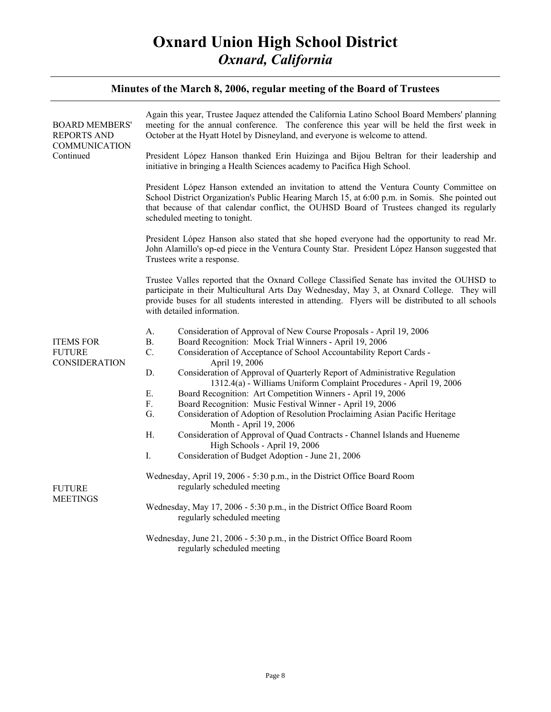| <b>BOARD MEMBERS'</b><br><b>REPORTS AND</b><br><b>COMMUNICATION</b><br>Continued | Again this year, Trustee Jaquez attended the California Latino School Board Members' planning<br>meeting for the annual conference. The conference this year will be held the first week in<br>October at the Hyatt Hotel by Disneyland, and everyone is welcome to attend.                                                 |
|----------------------------------------------------------------------------------|-----------------------------------------------------------------------------------------------------------------------------------------------------------------------------------------------------------------------------------------------------------------------------------------------------------------------------|
|                                                                                  | President López Hanson thanked Erin Huizinga and Bijou Beltran for their leadership and<br>initiative in bringing a Health Sciences academy to Pacifica High School.                                                                                                                                                        |
|                                                                                  | President López Hanson extended an invitation to attend the Ventura County Committee on<br>School District Organization's Public Hearing March 15, at 6:00 p.m. in Somis. She pointed out<br>that because of that calendar conflict, the OUHSD Board of Trustees changed its regularly<br>scheduled meeting to tonight.     |
|                                                                                  | President López Hanson also stated that she hoped everyone had the opportunity to read Mr.<br>John Alamillo's op-ed piece in the Ventura County Star. President López Hanson suggested that<br>Trustees write a response.                                                                                                   |
|                                                                                  | Trustee Valles reported that the Oxnard College Classified Senate has invited the OUHSD to<br>participate in their Multicultural Arts Day Wednesday, May 3, at Oxnard College. They will<br>provide buses for all students interested in attending. Flyers will be distributed to all schools<br>with detailed information. |
|                                                                                  | Consideration of Approval of New Course Proposals - April 19, 2006<br>A.                                                                                                                                                                                                                                                    |
| <b>ITEMS FOR</b>                                                                 | Board Recognition: Mock Trial Winners - April 19, 2006<br><b>B.</b>                                                                                                                                                                                                                                                         |
| <b>FUTURE</b><br><b>CONSIDERATION</b>                                            | C.<br>Consideration of Acceptance of School Accountability Report Cards -<br>April 19, 2006                                                                                                                                                                                                                                 |
|                                                                                  | Consideration of Approval of Quarterly Report of Administrative Regulation<br>D.<br>1312.4(a) - Williams Uniform Complaint Procedures - April 19, 2006                                                                                                                                                                      |
|                                                                                  | E.<br>Board Recognition: Art Competition Winners - April 19, 2006                                                                                                                                                                                                                                                           |
|                                                                                  | F.<br>Board Recognition: Music Festival Winner - April 19, 2006                                                                                                                                                                                                                                                             |
|                                                                                  | Consideration of Adoption of Resolution Proclaiming Asian Pacific Heritage<br>G.<br>Month - April 19, 2006                                                                                                                                                                                                                  |
|                                                                                  | Η.<br>Consideration of Approval of Quad Contracts - Channel Islands and Hueneme<br>High Schools - April 19, 2006                                                                                                                                                                                                            |
|                                                                                  | I.<br>Consideration of Budget Adoption - June 21, 2006                                                                                                                                                                                                                                                                      |
| <b>FUTURE</b><br><b>MEETINGS</b>                                                 | Wednesday, April 19, 2006 - 5:30 p.m., in the District Office Board Room<br>regularly scheduled meeting                                                                                                                                                                                                                     |
|                                                                                  | Wednesday, May 17, 2006 - 5:30 p.m., in the District Office Board Room<br>regularly scheduled meeting                                                                                                                                                                                                                       |
|                                                                                  | Wednesday, June 21, 2006 - 5:30 p.m., in the District Office Board Room<br>regularly scheduled meeting                                                                                                                                                                                                                      |